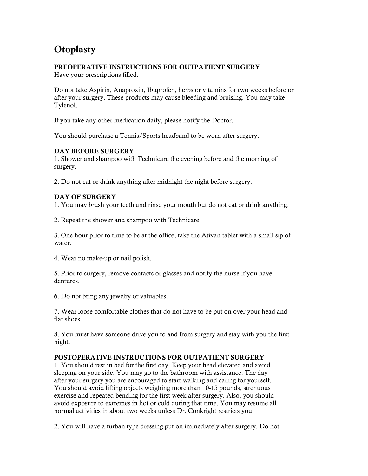# **Otoplasty**

# PREOPERATIVE INSTRUCTIONS FOR OUTPATIENT SURGERY

Have your prescriptions filled.

Do not take Aspirin, Anaproxin, Ibuprofen, herbs or vitamins for two weeks before or after your surgery. These products may cause bleeding and bruising. You may take Tylenol.

If you take any other medication daily, please notify the Doctor.

You should purchase a Tennis/Sports headband to be worn after surgery.

#### DAY BEFORE SURGERY

1. Shower and shampoo with Technicare the evening before and the morning of surgery.

2. Do not eat or drink anything after midnight the night before surgery.

## DAY OF SURGERY

1. You may brush your teeth and rinse your mouth but do not eat or drink anything.

2. Repeat the shower and shampoo with Technicare.

3. One hour prior to time to be at the office, take the Ativan tablet with a small sip of water.

4. Wear no make-up or nail polish.

5. Prior to surgery, remove contacts or glasses and notify the nurse if you have dentures.

6. Do not bring any jewelry or valuables.

7. Wear loose comfortable clothes that do not have to be put on over your head and flat shoes.

8. You must have someone drive you to and from surgery and stay with you the first night.

## POSTOPERATIVE INSTRUCTIONS FOR OUTPATIENT SURGERY

1. You should rest in bed for the first day. Keep your head elevated and avoid sleeping on your side. You may go to the bathroom with assistance. The day after your surgery you are encouraged to start walking and caring for yourself. You should avoid lifting objects weighing more than 10-15 pounds, strenuous exercise and repeated bending for the first week after surgery. Also, you should avoid exposure to extremes in hot or cold during that time. You may resume all normal activities in about two weeks unless Dr. Conkright restricts you.

2. You will have a turban type dressing put on immediately after surgery. Do not